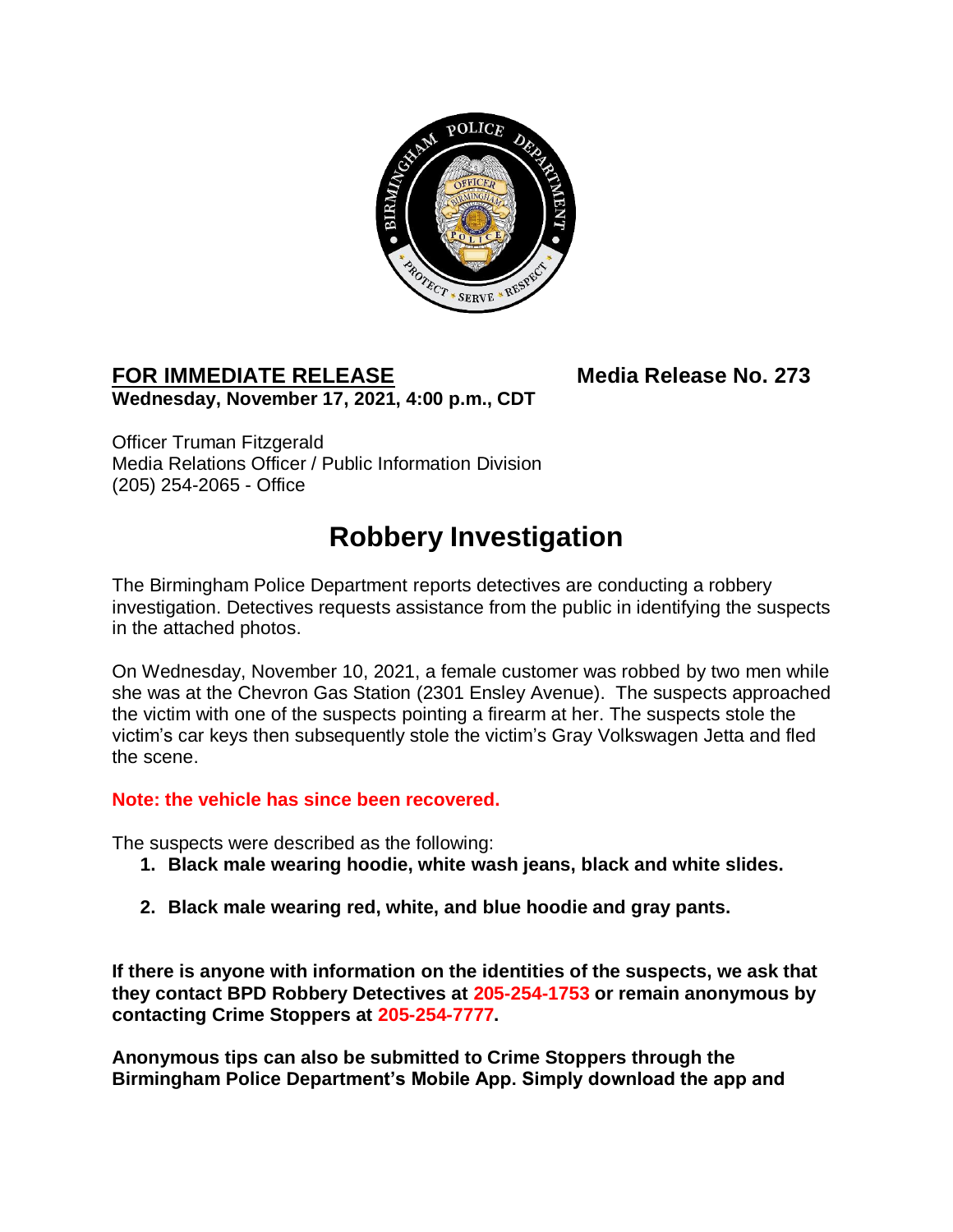

## FOR IMMEDIATE RELEASE Media Release No. 273 **Wednesday, November 17, 2021, 4:00 p.m., CDT**

Officer Truman Fitzgerald Media Relations Officer / Public Information Division (205) 254-2065 - Office

## **Robbery Investigation**

The Birmingham Police Department reports detectives are conducting a robbery investigation. Detectives requests assistance from the public in identifying the suspects in the attached photos.

On Wednesday, November 10, 2021, a female customer was robbed by two men while she was at the Chevron Gas Station (2301 Ensley Avenue). The suspects approached the victim with one of the suspects pointing a firearm at her. The suspects stole the victim's car keys then subsequently stole the victim's Gray Volkswagen Jetta and fled the scene.

## **Note: the vehicle has since been recovered.**

The suspects were described as the following:

- **1. Black male wearing hoodie, white wash jeans, black and white slides.**
- **2. Black male wearing red, white, and blue hoodie and gray pants.**

**If there is anyone with information on the identities of the suspects, we ask that they contact BPD Robbery Detectives at 205-254-1753 or remain anonymous by contacting Crime Stoppers at 205-254-7777.** 

**Anonymous tips can also be submitted to Crime Stoppers through the Birmingham Police Department's Mobile App. Simply download the app and**